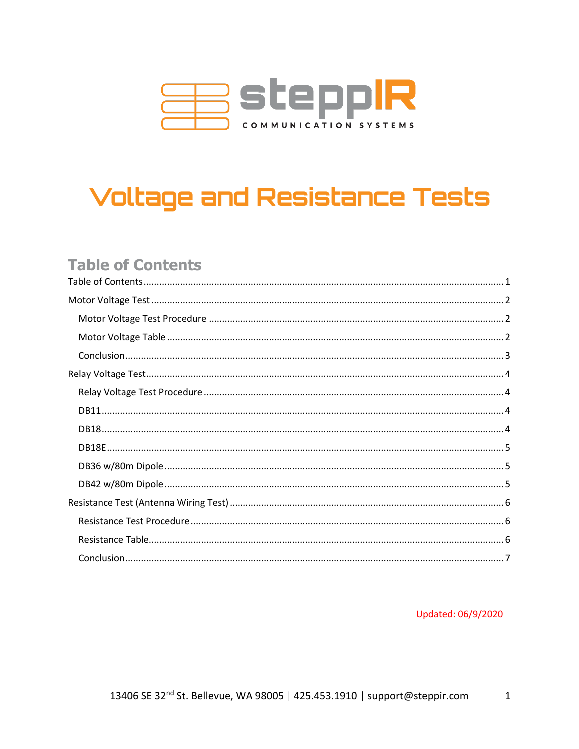

# **Voltage and Resistance Tests**

## <span id="page-0-0"></span>**Table of Contents**

Updated: 06/9/2020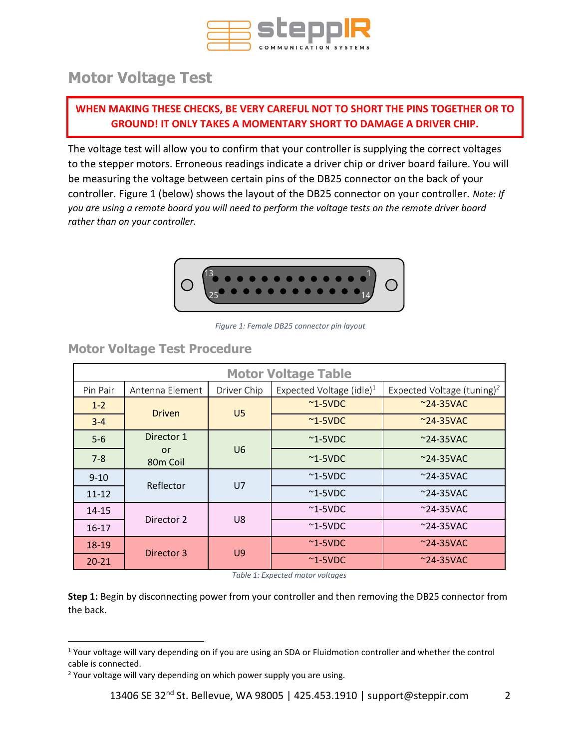

## <span id="page-1-0"></span>**Motor Voltage Test**

## **WHEN MAKING THESE CHECKS, BE VERY CAREFUL NOT TO SHORT THE PINS TOGETHER OR TO GROUND! IT ONLY TAKES A MOMENTARY SHORT TO DAMAGE A DRIVER CHIP.**

The voltage test will allow you to confirm that your controller is supplying the correct voltages to the stepper motors. Erroneous readings indicate a driver chip or driver board failure. You will be measuring the voltage between certain pins of the DB25 connector on the back of your controller. Figure 1 (below) shows the layout of the DB25 connector on your controller. *Note: If you are using a remote board you will need to perform the voltage tests on the remote driver board rather than on your controller.*



*Figure 1: Female DB25 connector pin layout*

## <span id="page-1-1"></span>**Motor Voltage Test Procedure**

<span id="page-1-2"></span>

| <b>Motor Voltage Table</b> |                            |                |                                      |                                        |                    |  |  |  |
|----------------------------|----------------------------|----------------|--------------------------------------|----------------------------------------|--------------------|--|--|--|
| Pin Pair                   | Antenna Element            | Driver Chip    | Expected Voltage (idle) <sup>1</sup> | Expected Voltage (tuning) <sup>2</sup> |                    |  |  |  |
| $1 - 2$                    |                            |                | $~^{\sim}$ 1-5VDC                    | $~24 - 35$ VAC                         |                    |  |  |  |
| $3 - 4$                    | <b>Driven</b>              | U <sub>5</sub> | $\sim$ 1-5VDC                        | $\sim$ 24-35VAC                        |                    |  |  |  |
| $5-6$                      | Director 1                 |                | $\sim$ 1-5VDC                        | $^{\sim}$ 24-35VAC                     |                    |  |  |  |
| $7 - 8$                    | or<br>80 <sub>m</sub> Coil | U <sub>6</sub> | $~^{\sim}$ 1-5VDC                    | $^{\sim}$ 24-35VAC                     |                    |  |  |  |
| $9 - 10$                   | Reflector                  | U <sub>7</sub> | $~^{\sim}$ 1-5VDC                    | $^{\sim}$ 24-35VAC                     |                    |  |  |  |
| $11 - 12$                  |                            |                | $\sim$ 1-5VDC                        | $\sim$ 24-35VAC                        |                    |  |  |  |
| $14 - 15$                  |                            |                | $~^{\sim}$ 1-5VDC                    | $\sim$ 24-35VAC                        |                    |  |  |  |
| $16-17$                    | Director 2                 | U8             | $~^{\sim}$ 1-5VDC                    | $^{\sim}$ 24-35VAC                     |                    |  |  |  |
| 18-19                      | Director 3                 |                | $\sim$ 1-5VDC                        | $^{\sim}$ 24-35VAC                     |                    |  |  |  |
| $20 - 21$                  |                            | U9             |                                      | $~^{\sim}$ 1-5VDC                      | $^{\sim}$ 24-35VAC |  |  |  |

*Table 1: Expected motor voltages*

**Step 1:** Begin by disconnecting power from your controller and then removing the DB25 connector from the back.

<sup>1</sup> Your voltage will vary depending on if you are using an SDA or Fluidmotion controller and whether the control cable is connected.

<sup>&</sup>lt;sup>2</sup> Your voltage will vary depending on which power supply you are using.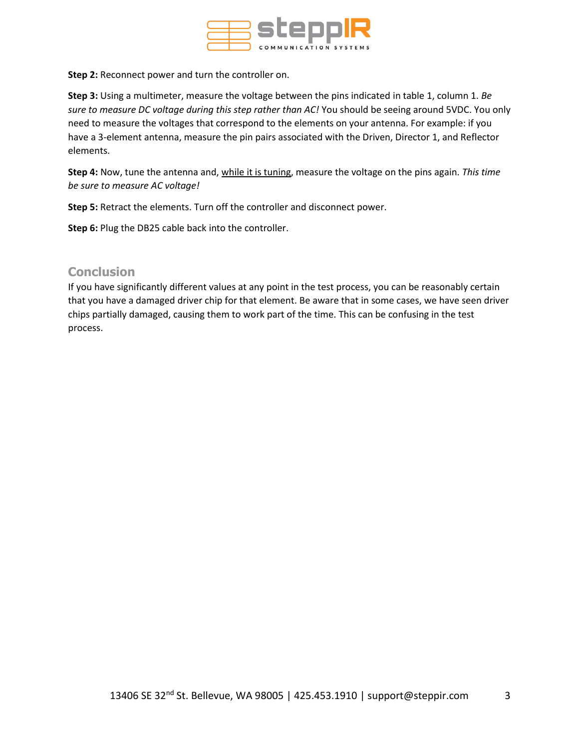

**Step 2:** Reconnect power and turn the controller on.

**Step 3:** Using a multimeter, measure the voltage between the pins indicated in table 1, column 1. *Be sure to measure DC voltage during this step rather than AC!* You should be seeing around 5VDC. You only need to measure the voltages that correspond to the elements on your antenna. For example: if you have a 3-element antenna, measure the pin pairs associated with the Driven, Director 1, and Reflector elements.

**Step 4:** Now, tune the antenna and, while it is tuning, measure the voltage on the pins again. *This time be sure to measure AC voltage!* 

**Step 5:** Retract the elements. Turn off the controller and disconnect power.

**Step 6:** Plug the DB25 cable back into the controller.

#### <span id="page-2-0"></span>**Conclusion**

If you have significantly different values at any point in the test process, you can be reasonably certain that you have a damaged driver chip for that element. Be aware that in some cases, we have seen driver chips partially damaged, causing them to work part of the time. This can be confusing in the test process.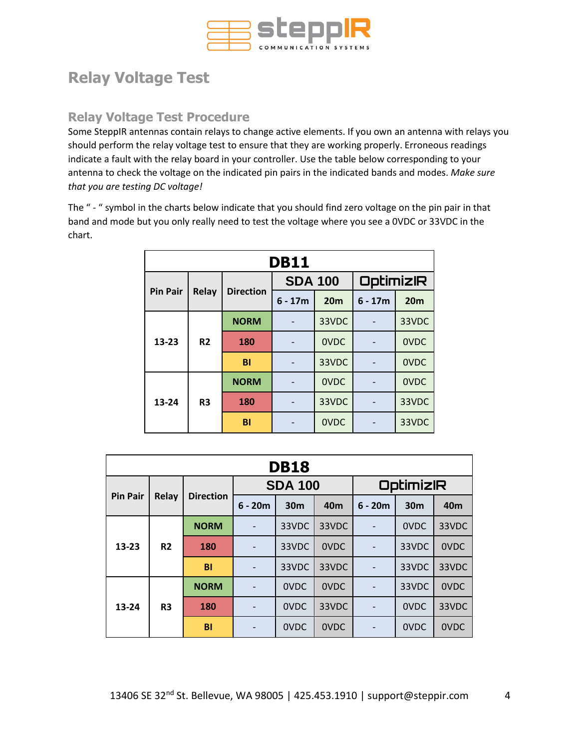

## <span id="page-3-0"></span>**Relay Voltage Test**

## <span id="page-3-1"></span>**Relay Voltage Test Procedure**

Some SteppIR antennas contain relays to change active elements. If you own an antenna with relays you should perform the relay voltage test to ensure that they are working properly. Erroneous readings indicate a fault with the relay board in your controller. Use the table below corresponding to your antenna to check the voltage on the indicated pin pairs in the indicated bands and modes. *Make sure that you are testing DC voltage!*

The " - " symbol in the charts below indicate that you should find zero voltage on the pin pair in that band and mode but you only really need to test the voltage where you see a 0VDC or 33VDC in the chart.

<span id="page-3-2"></span>

| <b>DB11</b>     |                |                  |                |                 |                  |                 |       |
|-----------------|----------------|------------------|----------------|-----------------|------------------|-----------------|-------|
|                 |                |                  | <b>SDA 100</b> |                 | <b>OptimizIR</b> |                 |       |
| <b>Pin Pair</b> | <b>Relay</b>   | <b>Direction</b> | $6 - 17m$      | 20 <sub>m</sub> | $6 - 17m$        | 20 <sub>m</sub> |       |
|                 |                | <b>NORM</b>      |                | 33VDC           |                  | 33VDC           |       |
| 13-23           | R <sub>2</sub> | 180              |                | <b>OVDC</b>     |                  | <b>OVDC</b>     |       |
|                 |                | <b>BI</b>        |                | 33VDC           |                  | <b>OVDC</b>     |       |
|                 |                | <b>NORM</b>      |                | <b>OVDC</b>     |                  | <b>OVDC</b>     |       |
| 13-24           | R <sub>3</sub> | 180              |                | 33VDC           |                  | 33VDC           |       |
|                 |                |                  | BI             |                 | <b>OVDC</b>      |                 | 33VDC |

<span id="page-3-3"></span>

| <b>DB18</b>     |                |                  |                 |                 |                  |           |                 |                 |
|-----------------|----------------|------------------|-----------------|-----------------|------------------|-----------|-----------------|-----------------|
|                 |                | <b>SDA 100</b>   |                 |                 | <b>OptimizIR</b> |           |                 |                 |
| <b>Pin Pair</b> | Relay          | <b>Direction</b> | $6 - 20m$       | 30 <sub>m</sub> | 40 <sub>m</sub>  | $6 - 20m$ | 30 <sub>m</sub> | 40 <sub>m</sub> |
|                 |                | <b>NORM</b>      | $\overline{a}$  | 33VDC           | 33VDC            |           | 0VDC            | 33VDC           |
| $13 - 23$       | R <sub>2</sub> | 180              | -               | 33VDC           | <b>OVDC</b>      |           | 33VDC           | 0VDC            |
|                 |                | BI               |                 | 33VDC           | 33VDC            |           | 33VDC           | 33VDC           |
|                 |                | <b>NORM</b>      |                 | <b>OVDC</b>     | <b>OVDC</b>      |           | 33VDC           | <b>OVDC</b>     |
| 13-24           | R <sub>3</sub> | 180              | $\qquad \qquad$ | <b>OVDC</b>     | 33VDC            |           | 0VDC            | 33VDC           |
|                 |                | BI               |                 | <b>OVDC</b>     | <b>OVDC</b>      |           | 0VDC            | 0VDC            |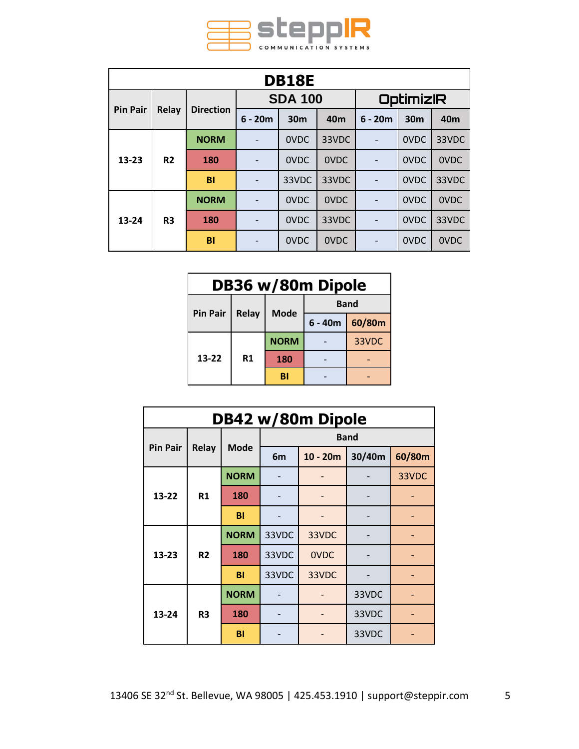

<span id="page-4-0"></span>

| <b>DB18E</b>    |                |                  |                |                 |                 |                  |                 |                 |      |
|-----------------|----------------|------------------|----------------|-----------------|-----------------|------------------|-----------------|-----------------|------|
|                 |                |                  | <b>SDA 100</b> |                 |                 | <b>OptimizIR</b> |                 |                 |      |
| <b>Pin Pair</b> | <b>Relay</b>   | <b>Direction</b> | $6 - 20m$      | 30 <sub>m</sub> | 40 <sub>m</sub> | $6 - 20m$        | 30 <sub>m</sub> | 40 <sub>m</sub> |      |
|                 | R <sub>2</sub> | <b>NORM</b>      |                | <b>OVDC</b>     | 33VDC           |                  | <b>OVDC</b>     | 33VDC           |      |
| $13 - 23$       |                | <b>180</b>       |                | <b>OVDC</b>     | <b>OVDC</b>     |                  | <b>OVDC</b>     | 0VDC            |      |
|                 |                | <b>BI</b>        |                | 33VDC           | 33VDC           |                  | <b>OVDC</b>     | 33VDC           |      |
|                 | R <sub>3</sub> |                  | <b>NORM</b>    |                 | <b>OVDC</b>     | <b>OVDC</b>      |                 | <b>OVDC</b>     | 0VDC |
| 13-24           |                | 180              |                | <b>OVDC</b>     | 33VDC           |                  | <b>OVDC</b>     | 33VDC           |      |
|                 |                | BI               |                | <b>OVDC</b>     | 0VDC            |                  | <b>OVDC</b>     | 0VDC            |      |

<span id="page-4-1"></span>

| DB36 w/80m Dipole |       |             |             |        |  |  |
|-------------------|-------|-------------|-------------|--------|--|--|
|                   |       |             | <b>Band</b> |        |  |  |
| <b>Pin Pair</b>   | Relay | <b>Mode</b> | $6 - 40m$   | 60/80m |  |  |
|                   | R1    | <b>NORM</b> |             | 33VDC  |  |  |
| 13-22             |       | 180         |             |        |  |  |
|                   |       | BI          |             |        |  |  |

<span id="page-4-2"></span>

| DB42 w/80m Dipole |                |             |       |             |        |        |
|-------------------|----------------|-------------|-------|-------------|--------|--------|
|                   |                | <b>Band</b> |       |             |        |        |
| <b>Pin Pair</b>   | <b>Relay</b>   | <b>Mode</b> | 6m    | $10 - 20m$  | 30/40m | 60/80m |
|                   |                | <b>NORM</b> |       |             |        | 33VDC  |
| $13 - 22$         | R1             | 180         |       |             |        |        |
|                   |                | BI          |       |             |        |        |
|                   | R <sub>2</sub> | <b>NORM</b> | 33VDC | 33VDC       |        |        |
| 13-23             |                | 180         | 33VDC | <b>OVDC</b> |        |        |
|                   |                | <b>BI</b>   | 33VDC | 33VDC       |        |        |
| 13-24             |                | <b>NORM</b> |       |             | 33VDC  |        |
|                   | R <sub>3</sub> | 180         |       |             | 33VDC  |        |
|                   |                | BI          |       |             | 33VDC  |        |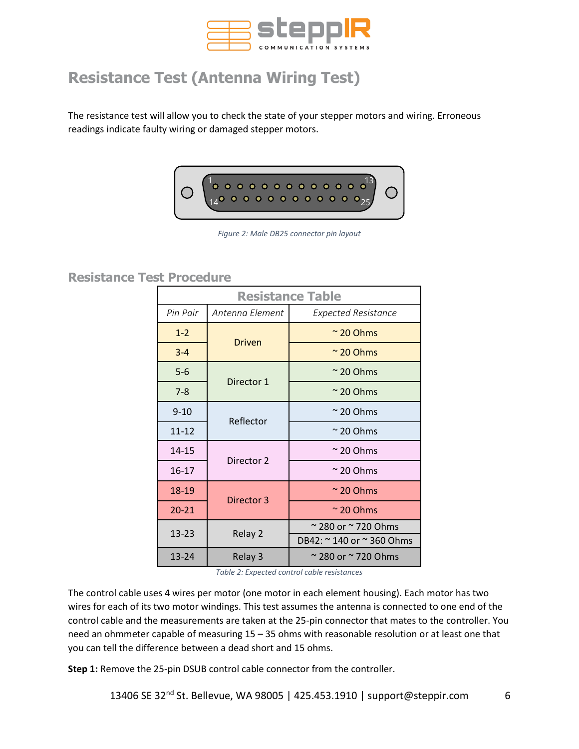

# <span id="page-5-0"></span>**Resistance Test (Antenna Wiring Test)**

The resistance test will allow you to check the state of your stepper motors and wiring. Erroneous readings indicate faulty wiring or damaged stepper motors.



*Figure 2: Male DB25 connector pin layout*

### <span id="page-5-1"></span>**Resistance Test Procedure**

<span id="page-5-2"></span>

| <b>Resistance Table</b> |                 |                                     |  |  |  |  |  |  |
|-------------------------|-----------------|-------------------------------------|--|--|--|--|--|--|
| Pin Pair                | Antenna Element | <b>Expected Resistance</b>          |  |  |  |  |  |  |
| $1 - 2$                 | <b>Driven</b>   | $\approx$ 20 Ohms                   |  |  |  |  |  |  |
| $3 - 4$                 |                 | $\approx$ 20 Ohms                   |  |  |  |  |  |  |
| $5 - 6$                 | Director 1      | $\approx$ 20 Ohms                   |  |  |  |  |  |  |
| $7 - 8$                 |                 | $\approx$ 20 Ohms                   |  |  |  |  |  |  |
| $9 - 10$                | Reflector       | $\approx$ 20 Ohms                   |  |  |  |  |  |  |
| $11 - 12$               |                 | $\approx$ 20 Ohms                   |  |  |  |  |  |  |
| 14-15                   | Director 2      | $\approx$ 20 Ohms                   |  |  |  |  |  |  |
| 16-17                   |                 | $\approx$ 20 Ohms                   |  |  |  |  |  |  |
| 18-19                   | Director 3      | $\approx$ 20 Ohms                   |  |  |  |  |  |  |
| $20 - 21$               |                 | $\approx$ 20 Ohms                   |  |  |  |  |  |  |
| 13-23                   | Relay 2         | $\approx$ 280 or $\approx$ 720 Ohms |  |  |  |  |  |  |
|                         |                 | DB42: ~ 140 or ~ 360 Ohms           |  |  |  |  |  |  |
| 13-24                   | Relay 3         | $\approx$ 280 or $\approx$ 720 Ohms |  |  |  |  |  |  |

*Table 2: Expected control cable resistances*

The control cable uses 4 wires per motor (one motor in each element housing). Each motor has two wires for each of its two motor windings. This test assumes the antenna is connected to one end of the control cable and the measurements are taken at the 25-pin connector that mates to the controller. You need an ohmmeter capable of measuring 15 – 35 ohms with reasonable resolution or at least one that you can tell the difference between a dead short and 15 ohms.

**Step 1:** Remove the 25-pin DSUB control cable connector from the controller.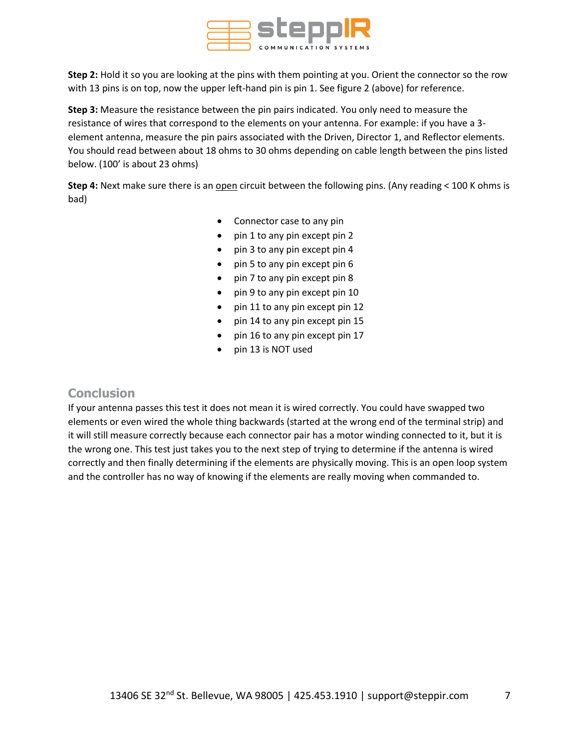

**Step 2:** Hold it so you are looking at the pins with them pointing at you. Orient the connector so the row with 13 pins is on top, now the upper left-hand pin is pin 1. See figure 2 (above) for reference.

**Step 3:** Measure the resistance between the pin pairs indicated. You only need to measure the resistance of wires that correspond to the elements on your antenna. For example: if you have a 3 element antenna, measure the pin pairs associated with the Driven, Director 1, and Reflector elements. You should read between about 18 ohms to 30 ohms depending on cable length between the pins listed below. (100' is about 23 ohms)

**Step 4:** Next make sure there is an open circuit between the following pins. (Any reading < 100 K ohms is bad)

- Connector case to any pin
- pin 1 to any pin except pin 2
- pin 3 to any pin except pin 4
- pin 5 to any pin except pin 6
- pin 7 to any pin except pin 8
- pin 9 to any pin except pin 10
- pin 11 to any pin except pin 12
- pin 14 to any pin except pin 15
- pin 16 to any pin except pin 17
- pin 13 is NOT used

#### <span id="page-6-0"></span>**Conclusion**

If your antenna passes this test it does not mean it is wired correctly. You could have swapped two elements or even wired the whole thing backwards (started at the wrong end of the terminal strip) and it will still measure correctly because each connector pair has a motor winding connected to it, but it is the wrong one. This test just takes you to the next step of trying to determine if the antenna is wired correctly and then finally determining if the elements are physically moving. This is an open loop system and the controller has no way of knowing if the elements are really moving when commanded to.